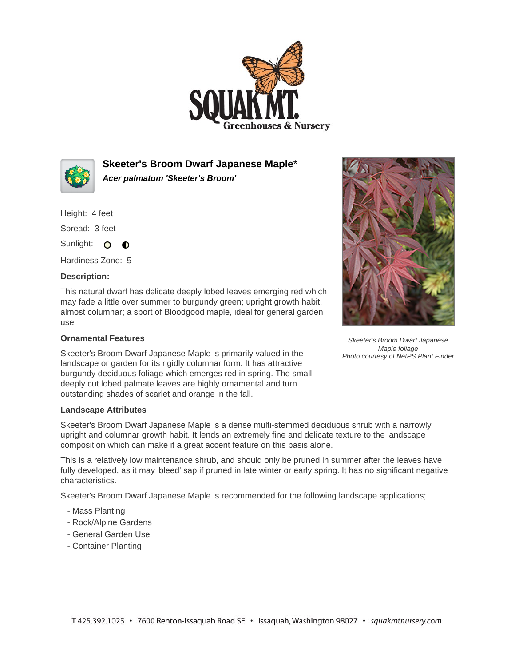



**Skeeter's Broom Dwarf Japanese Maple**\* **Acer palmatum 'Skeeter's Broom'**

Height: 4 feet

Spread: 3 feet

Sunlight: O O

Hardiness Zone: 5

## **Description:**

This natural dwarf has delicate deeply lobed leaves emerging red which may fade a little over summer to burgundy green; upright growth habit, almost columnar; a sport of Bloodgood maple, ideal for general garden use

## **Ornamental Features**

Skeeter's Broom Dwarf Japanese Maple is primarily valued in the landscape or garden for its rigidly columnar form. It has attractive burgundy deciduous foliage which emerges red in spring. The small deeply cut lobed palmate leaves are highly ornamental and turn outstanding shades of scarlet and orange in the fall.



Skeeter's Broom Dwarf Japanese Maple is a dense multi-stemmed deciduous shrub with a narrowly upright and columnar growth habit. It lends an extremely fine and delicate texture to the landscape composition which can make it a great accent feature on this basis alone.

This is a relatively low maintenance shrub, and should only be pruned in summer after the leaves have fully developed, as it may 'bleed' sap if pruned in late winter or early spring. It has no significant negative characteristics.

Skeeter's Broom Dwarf Japanese Maple is recommended for the following landscape applications;

- Mass Planting
- Rock/Alpine Gardens
- General Garden Use
- Container Planting



Skeeter's Broom Dwarf Japanese Maple foliage Photo courtesy of NetPS Plant Finder